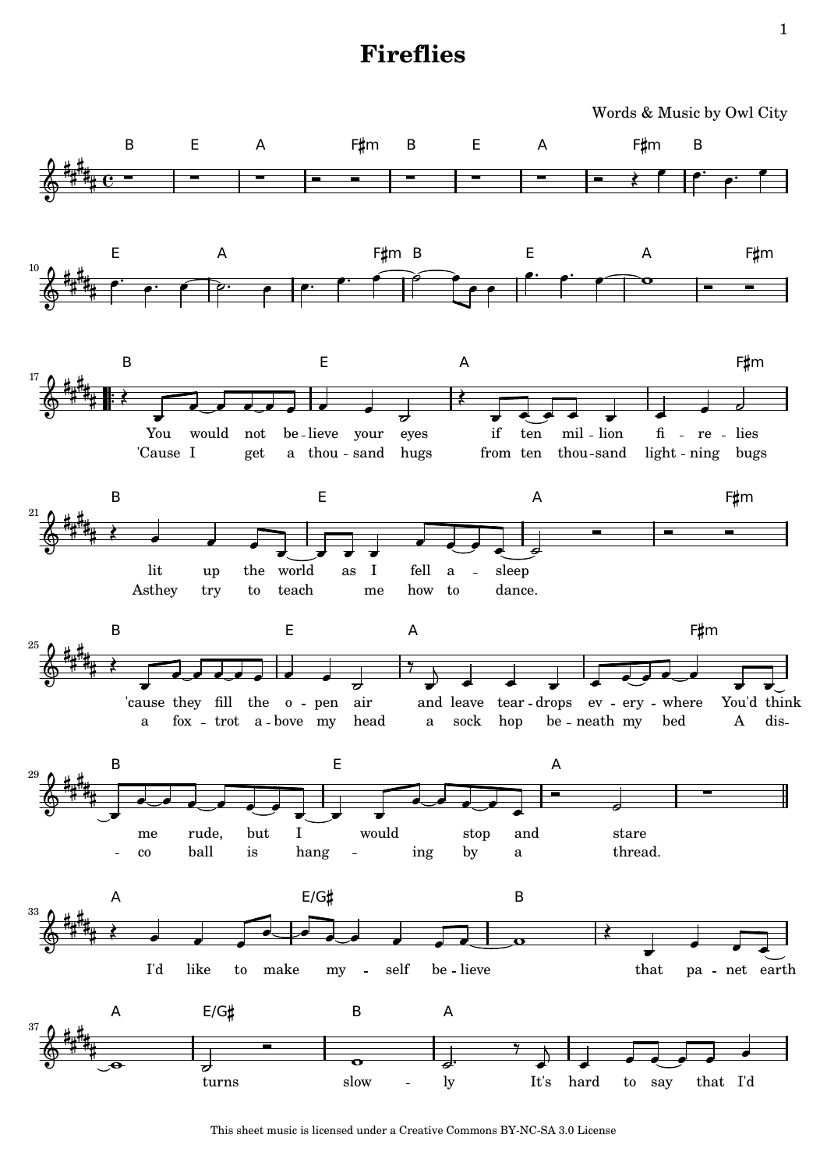## **Fireflies**



This sheet music is licensed under a [Creative Commons BY-NC-SA 3.0 License](http://creativecommons.org/licenses/by-nc-sa/3.0/)